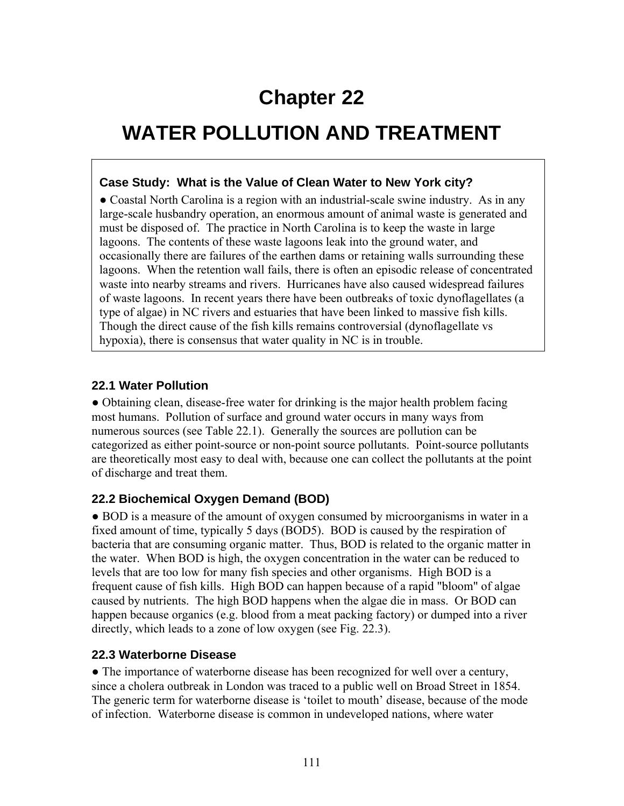# **Chapter 22**

## **WATER POLLUTION AND TREATMENT**

#### **Case Study: What is the Value of Clean Water to New York city?**

• Coastal North Carolina is a region with an industrial-scale swine industry. As in any large-scale husbandry operation, an enormous amount of animal waste is generated and must be disposed of. The practice in North Carolina is to keep the waste in large lagoons. The contents of these waste lagoons leak into the ground water, and occasionally there are failures of the earthen dams or retaining walls surrounding these lagoons. When the retention wall fails, there is often an episodic release of concentrated waste into nearby streams and rivers. Hurricanes have also caused widespread failures of waste lagoons. In recent years there have been outbreaks of toxic dynoflagellates (a type of algae) in NC rivers and estuaries that have been linked to massive fish kills. Though the direct cause of the fish kills remains controversial (dynoflagellate vs hypoxia), there is consensus that water quality in NC is in trouble.

#### **22.1 Water Pollution**

● Obtaining clean, disease-free water for drinking is the major health problem facing most humans. Pollution of surface and ground water occurs in many ways from numerous sources (see Table 22.1). Generally the sources are pollution can be categorized as either point-source or non-point source pollutants. Point-source pollutants are theoretically most easy to deal with, because one can collect the pollutants at the point of discharge and treat them.

### **22.2 Biochemical Oxygen Demand (BOD)**

● BOD is a measure of the amount of oxygen consumed by microorganisms in water in a fixed amount of time, typically 5 days (BOD5). BOD is caused by the respiration of bacteria that are consuming organic matter. Thus, BOD is related to the organic matter in the water. When BOD is high, the oxygen concentration in the water can be reduced to levels that are too low for many fish species and other organisms. High BOD is a frequent cause of fish kills. High BOD can happen because of a rapid "bloom" of algae caused by nutrients. The high BOD happens when the algae die in mass. Or BOD can happen because organics (e.g. blood from a meat packing factory) or dumped into a river directly, which leads to a zone of low oxygen (see Fig. 22.3).

### **22.3 Waterborne Disease**

• The importance of waterborne disease has been recognized for well over a century, since a cholera outbreak in London was traced to a public well on Broad Street in 1854. The generic term for waterborne disease is 'toilet to mouth' disease, because of the mode of infection. Waterborne disease is common in undeveloped nations, where water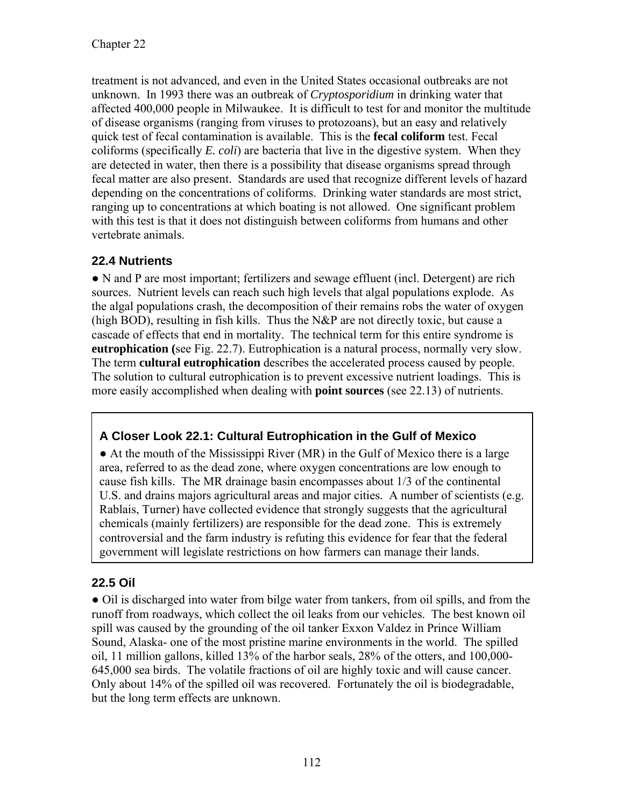treatment is not advanced, and even in the United States occasional outbreaks are not unknown. In 1993 there was an outbreak of *Cryptosporidium* in drinking water that affected 400,000 people in Milwaukee. It is difficult to test for and monitor the multitude of disease organisms (ranging from viruses to protozoans), but an easy and relatively quick test of fecal contamination is available. This is the **fecal coliform** test. Fecal coliforms (specifically *E. coli*) are bacteria that live in the digestive system. When they are detected in water, then there is a possibility that disease organisms spread through fecal matter are also present. Standards are used that recognize different levels of hazard depending on the concentrations of coliforms. Drinking water standards are most strict, ranging up to concentrations at which boating is not allowed. One significant problem with this test is that it does not distinguish between coliforms from humans and other vertebrate animals.

## **22.4 Nutrients**

● N and P are most important; fertilizers and sewage effluent (incl. Detergent) are rich sources. Nutrient levels can reach such high levels that algal populations explode. As the algal populations crash, the decomposition of their remains robs the water of oxygen (high BOD), resulting in fish kills. Thus the N&P are not directly toxic, but cause a cascade of effects that end in mortality. The technical term for this entire syndrome is **eutrophication (**see Fig. 22.7). Eutrophication is a natural process, normally very slow. The term **cultural eutrophication** describes the accelerated process caused by people. The solution to cultural eutrophication is to prevent excessive nutrient loadings. This is more easily accomplished when dealing with **point sources** (see 22.13) of nutrients.

## **A Closer Look 22.1: Cultural Eutrophication in the Gulf of Mexico**

• At the mouth of the Mississippi River (MR) in the Gulf of Mexico there is a large area, referred to as the dead zone, where oxygen concentrations are low enough to cause fish kills. The MR drainage basin encompasses about 1/3 of the continental U.S. and drains majors agricultural areas and major cities. A number of scientists (e.g. Rablais, Turner) have collected evidence that strongly suggests that the agricultural chemicals (mainly fertilizers) are responsible for the dead zone. This is extremely controversial and the farm industry is refuting this evidence for fear that the federal government will legislate restrictions on how farmers can manage their lands.

## **22.5 Oil**

● Oil is discharged into water from bilge water from tankers, from oil spills, and from the runoff from roadways, which collect the oil leaks from our vehicles. The best known oil spill was caused by the grounding of the oil tanker Exxon Valdez in Prince William Sound, Alaska- one of the most pristine marine environments in the world. The spilled oil, 11 million gallons, killed 13% of the harbor seals, 28% of the otters, and 100,000- 645,000 sea birds. The volatile fractions of oil are highly toxic and will cause cancer. Only about 14% of the spilled oil was recovered. Fortunately the oil is biodegradable, but the long term effects are unknown.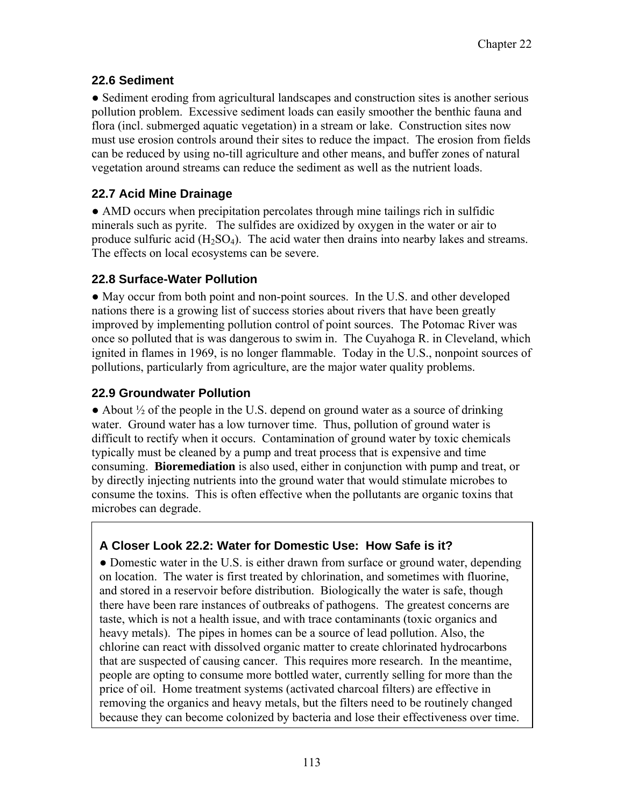## **22.6 Sediment**

● Sediment eroding from agricultural landscapes and construction sites is another serious pollution problem. Excessive sediment loads can easily smoother the benthic fauna and flora (incl. submerged aquatic vegetation) in a stream or lake. Construction sites now must use erosion controls around their sites to reduce the impact. The erosion from fields can be reduced by using no-till agriculture and other means, and buffer zones of natural vegetation around streams can reduce the sediment as well as the nutrient loads.

## **22.7 Acid Mine Drainage**

● AMD occurs when precipitation percolates through mine tailings rich in sulfidic minerals such as pyrite. The sulfides are oxidized by oxygen in the water or air to produce sulfuric acid  $(H_2SO_4)$ . The acid water then drains into nearby lakes and streams. The effects on local ecosystems can be severe.

## **22.8 Surface-Water Pollution**

● May occur from both point and non-point sources. In the U.S. and other developed nations there is a growing list of success stories about rivers that have been greatly improved by implementing pollution control of point sources. The Potomac River was once so polluted that is was dangerous to swim in. The Cuyahoga R. in Cleveland, which ignited in flames in 1969, is no longer flammable. Today in the U.S., nonpoint sources of pollutions, particularly from agriculture, are the major water quality problems.

### **22.9 Groundwater Pollution**

 $\bullet$  About  $\frac{1}{2}$  of the people in the U.S. depend on ground water as a source of drinking water. Ground water has a low turnover time. Thus, pollution of ground water is difficult to rectify when it occurs. Contamination of ground water by toxic chemicals typically must be cleaned by a pump and treat process that is expensive and time consuming. **Bioremediation** is also used, either in conjunction with pump and treat, or by directly injecting nutrients into the ground water that would stimulate microbes to consume the toxins. This is often effective when the pollutants are organic toxins that microbes can degrade.

## **A Closer Look 22.2: Water for Domestic Use: How Safe is it?**

• Domestic water in the U.S. is either drawn from surface or ground water, depending on location. The water is first treated by chlorination, and sometimes with fluorine, and stored in a reservoir before distribution. Biologically the water is safe, though there have been rare instances of outbreaks of pathogens. The greatest concerns are taste, which is not a health issue, and with trace contaminants (toxic organics and heavy metals). The pipes in homes can be a source of lead pollution. Also, the chlorine can react with dissolved organic matter to create chlorinated hydrocarbons that are suspected of causing cancer. This requires more research. In the meantime, people are opting to consume more bottled water, currently selling for more than the price of oil. Home treatment systems (activated charcoal filters) are effective in removing the organics and heavy metals, but the filters need to be routinely changed because they can become colonized by bacteria and lose their effectiveness over time.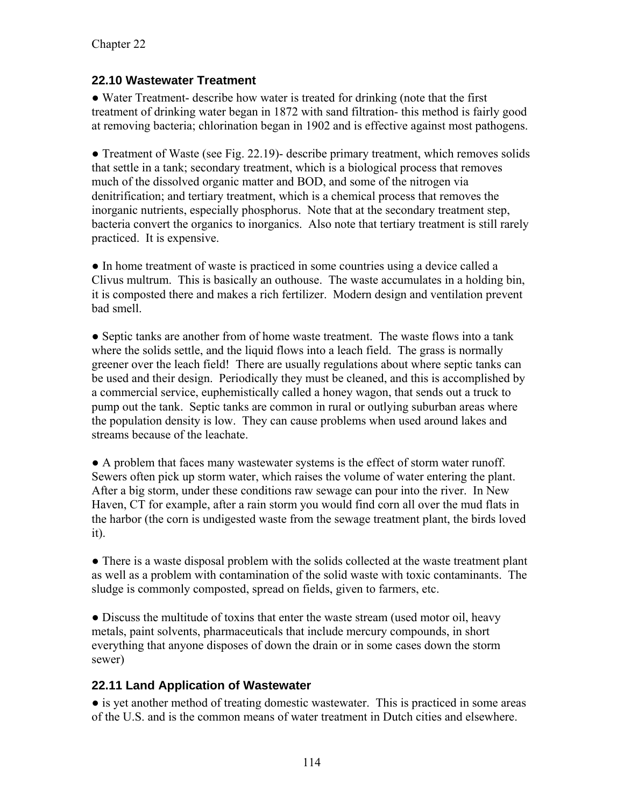### **22.10 Wastewater Treatment**

● Water Treatment- describe how water is treated for drinking (note that the first treatment of drinking water began in 1872 with sand filtration- this method is fairly good at removing bacteria; chlorination began in 1902 and is effective against most pathogens.

• Treatment of Waste (see Fig. 22.19)- describe primary treatment, which removes solids that settle in a tank; secondary treatment, which is a biological process that removes much of the dissolved organic matter and BOD, and some of the nitrogen via denitrification; and tertiary treatment, which is a chemical process that removes the inorganic nutrients, especially phosphorus. Note that at the secondary treatment step, bacteria convert the organics to inorganics. Also note that tertiary treatment is still rarely practiced. It is expensive.

● In home treatment of waste is practiced in some countries using a device called a Clivus multrum. This is basically an outhouse. The waste accumulates in a holding bin, it is composted there and makes a rich fertilizer. Modern design and ventilation prevent bad smell.

● Septic tanks are another from of home waste treatment. The waste flows into a tank where the solids settle, and the liquid flows into a leach field. The grass is normally greener over the leach field! There are usually regulations about where septic tanks can be used and their design. Periodically they must be cleaned, and this is accomplished by a commercial service, euphemistically called a honey wagon, that sends out a truck to pump out the tank. Septic tanks are common in rural or outlying suburban areas where the population density is low. They can cause problems when used around lakes and streams because of the leachate.

● A problem that faces many wastewater systems is the effect of storm water runoff. Sewers often pick up storm water, which raises the volume of water entering the plant. After a big storm, under these conditions raw sewage can pour into the river. In New Haven, CT for example, after a rain storm you would find corn all over the mud flats in the harbor (the corn is undigested waste from the sewage treatment plant, the birds loved it).

● There is a waste disposal problem with the solids collected at the waste treatment plant as well as a problem with contamination of the solid waste with toxic contaminants. The sludge is commonly composted, spread on fields, given to farmers, etc.

• Discuss the multitude of toxins that enter the waste stream (used motor oil, heavy metals, paint solvents, pharmaceuticals that include mercury compounds, in short everything that anyone disposes of down the drain or in some cases down the storm sewer)

### **22.11 Land Application of Wastewater**

• is yet another method of treating domestic wastewater. This is practiced in some areas of the U.S. and is the common means of water treatment in Dutch cities and elsewhere.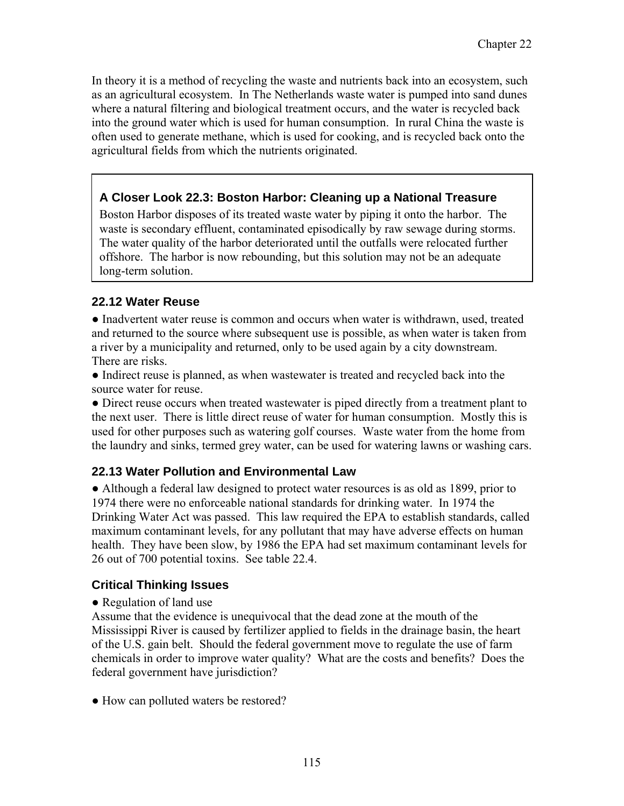In theory it is a method of recycling the waste and nutrients back into an ecosystem, such as an agricultural ecosystem. In The Netherlands waste water is pumped into sand dunes where a natural filtering and biological treatment occurs, and the water is recycled back into the ground water which is used for human consumption. In rural China the waste is often used to generate methane, which is used for cooking, and is recycled back onto the agricultural fields from which the nutrients originated.

## **A Closer Look 22.3: Boston Harbor: Cleaning up a National Treasure**

Boston Harbor disposes of its treated waste water by piping it onto the harbor. The waste is secondary effluent, contaminated episodically by raw sewage during storms. The water quality of the harbor deteriorated until the outfalls were relocated further offshore. The harbor is now rebounding, but this solution may not be an adequate long-term solution.

#### **22.12 Water Reuse**

• Inadvertent water reuse is common and occurs when water is withdrawn, used, treated and returned to the source where subsequent use is possible, as when water is taken from a river by a municipality and returned, only to be used again by a city downstream. There are risks.

• Indirect reuse is planned, as when wastewater is treated and recycled back into the source water for reuse.

• Direct reuse occurs when treated wastewater is piped directly from a treatment plant to the next user. There is little direct reuse of water for human consumption. Mostly this is used for other purposes such as watering golf courses. Waste water from the home from the laundry and sinks, termed grey water, can be used for watering lawns or washing cars.

### **22.13 Water Pollution and Environmental Law**

● Although a federal law designed to protect water resources is as old as 1899, prior to 1974 there were no enforceable national standards for drinking water. In 1974 the Drinking Water Act was passed. This law required the EPA to establish standards, called maximum contaminant levels, for any pollutant that may have adverse effects on human health. They have been slow, by 1986 the EPA had set maximum contaminant levels for 26 out of 700 potential toxins. See table 22.4.

### **Critical Thinking Issues**

#### • Regulation of land use

Assume that the evidence is unequivocal that the dead zone at the mouth of the Mississippi River is caused by fertilizer applied to fields in the drainage basin, the heart of the U.S. gain belt. Should the federal government move to regulate the use of farm chemicals in order to improve water quality? What are the costs and benefits? Does the federal government have jurisdiction?

• How can polluted waters be restored?